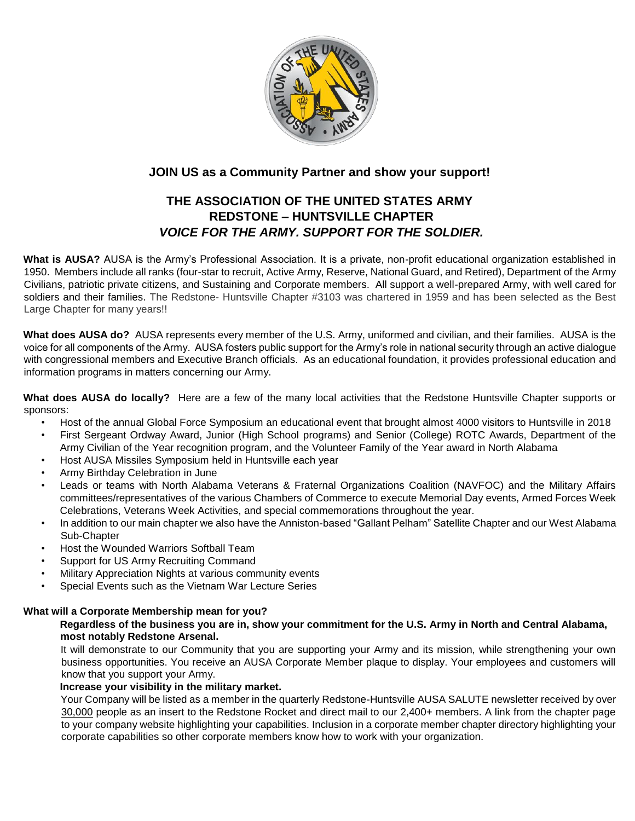

# **JOIN US as a Community Partner and show your support!**

# **THE ASSOCIATION OF THE UNITED STATES ARMY REDSTONE – HUNTSVILLE CHAPTER**  *VOICE FOR THE ARMY. SUPPORT FOR THE SOLDIER.*

**What is AUSA?** AUSA is the Army's Professional Association. It is a private, non-profit educational organization established in 1950. Members include all ranks (four-star to recruit, Active Army, Reserve, National Guard, and Retired), Department of the Army Civilians, patriotic private citizens, and Sustaining and Corporate members. All support a well-prepared Army, with well cared for soldiers and their families. The Redstone- Huntsville Chapter #3103 was chartered in 1959 and has been selected as the Best Large Chapter for many years!!

**What does AUSA do?** AUSA represents every member of the U.S. Army, uniformed and civilian, and their families. AUSA is the voice for all components of the Army. AUSA fosters public support for the Army's role in national security through an active dialogue with congressional members and Executive Branch officials. As an educational foundation, it provides professional education and information programs in matters concerning our Army.

**What does AUSA do locally?** Here are a few of the many local activities that the Redstone Huntsville Chapter supports or sponsors:

- Host of the annual Global Force Symposium an educational event that brought almost 4000 visitors to Huntsville in 2018
- First Sergeant Ordway Award, Junior (High School programs) and Senior (College) ROTC Awards, Department of the Army Civilian of the Year recognition program, and the Volunteer Family of the Year award in North Alabama
- Host AUSA Missiles Symposium held in Huntsville each year
- Army Birthday Celebration in June
- Leads or teams with North Alabama Veterans & Fraternal Organizations Coalition (NAVFOC) and the Military Affairs committees/representatives of the various Chambers of Commerce to execute Memorial Day events, Armed Forces Week Celebrations, Veterans Week Activities, and special commemorations throughout the year.
- In addition to our main chapter we also have the Anniston-based "Gallant Pelham" Satellite Chapter and our West Alabama Sub-Chapter
- Host the Wounded Warriors Softball Team
- Support for US Army Recruiting Command
- Military Appreciation Nights at various community events
- Special Events such as the Vietnam War Lecture Series

### **What will a Corporate Membership mean for you?**

### **Regardless of the business you are in, show your commitment for the U.S. Army in North and Central Alabama, most notably Redstone Arsenal.**

It will demonstrate to our Community that you are supporting your Army and its mission, while strengthening your own business opportunities. You receive an AUSA Corporate Member plaque to display. Your employees and customers will know that you support your Army.

## **Increase your visibility in the military market.**

Your Company will be listed as a member in the quarterly Redstone-Huntsville AUSA SALUTE newsletter received by over 30,000 people as an insert to the Redstone Rocket and direct mail to our 2,400+ members. A link from the chapter page to your company website highlighting your capabilities. Inclusion in a corporate member chapter directory highlighting your corporate capabilities so other corporate members know how to work with your organization.